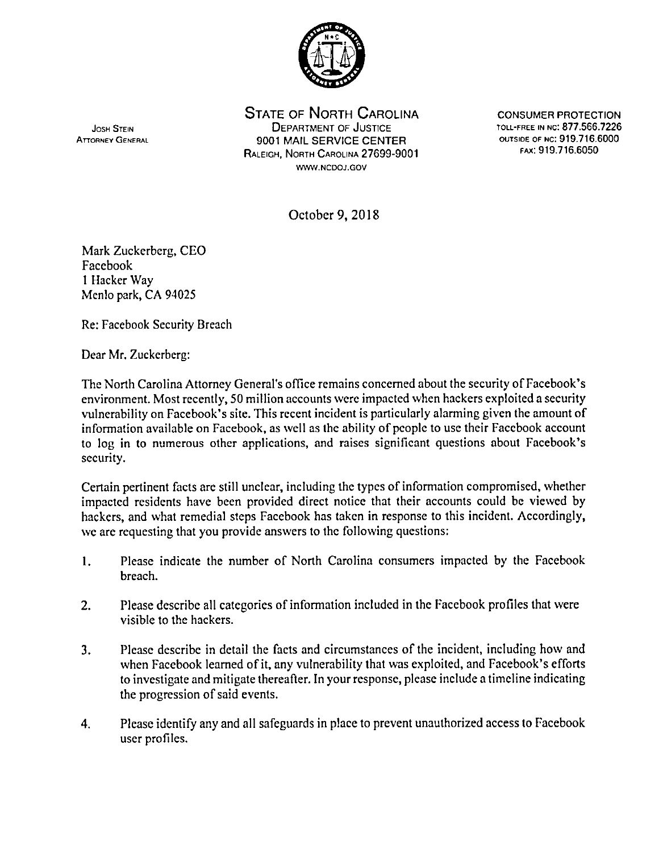

STATE OF NORTH CAROLINA CONSUMER PROTECTION JOSH STEIN DEPARTMEN T O F JUSTIC E TOLL-FREE IN NC: 877.566.722 6 ATTORNEY GENERAL **1900 1 MAIL SERVICE CENTER** OUTSIDE OF NC: 919.716.6000 RALEIGH, NORTH CAROLINA 27699-9001 WWW.NCDOJ.GOV

FAX. 919.710.0050

October 9, 2018

Mark Zuckerberg, CEO Facebook I Hacker Way Menlo park, CA 94025

Re: Facebook Security Breach

Dear Mr. Zuckerberg:

The North Carolina Attorney General's office remains concerned about the security of Facebook's environment. Most recently, 50 million accounts were impacted when hackers exploited a security vulnerability on Facebook's site. This recent incident is particularly alarming given the amount of information available on Facebook, as well as the ability of people to use their Facebook account to log in to numerous other applications, and raises significant questions about Facebook's security.

Certain pertinent facts are still unclear, including the types of information compromised, whether impacted residents have been provided direct noticc that their accounts could be viewed by hackers, and what remedial steps Facebook has taken in response to this incident. Accordingly, we are requesting that you provide answers to the following questions:

- 1. Please indicate the number of North Carolina consumers impacted by the Facebook breach.
- 2. Please describe all categories of information included in the Facebook profiles that were visible to the hackers.
- 3. Please describe in detail the facts and circumstances of the incident, including how and when Facebook learned of it, any vulnerability that was exploited, and Facebook's efforts to investigate and mitigate thereafter. In your response, please include a timeline indicating the progression of said events.
- 4. Please identify any and all safeguards in place to prevent unauthorized access to Facebook user profiles.